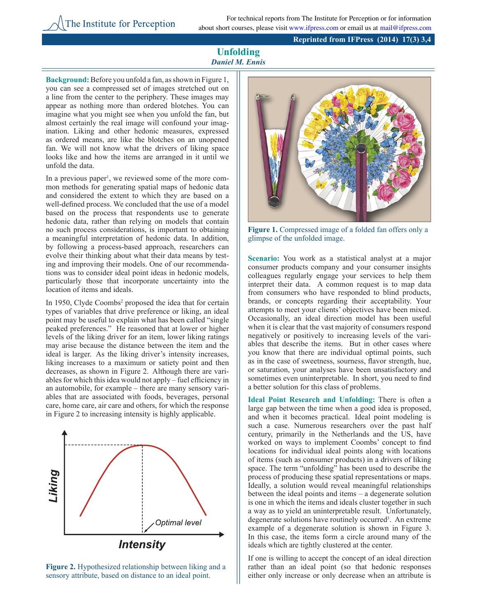## **Reprinted from IFPress (2014) 17(3) 3,4**

## **Unfolding** *Daniel M. Ennis*

**Background:**Before you unfold a fan, as shown in Figure 1, you can see a compressed set of images stretched out on a line from the center to the periphery. These images may appear as nothing more than ordered blotches. You can imagine what you might see when you unfold the fan, but almost certainly the real image will confound your imagination. Liking and other hedonic measures, expressed as ordered means, are like the blotches on an unopened fan. We will not know what the drivers of liking space looks like and how the items are arranged in it until we unfold the data.

In a previous paper<sup>1</sup>, we reviewed some of the more common methods for generating spatial maps of hedonic data and considered the extent to which they are based on a well-defined process. We concluded that the use of a model based on the process that respondents use to generate hedonic data, rather than relying on models that contain no such process considerations, is important to obtaining a meaningful interpretation of hedonic data. In addition, by following a process-based approach, researchers can evolve their thinking about what their data means by testing and improving their models. One of our recommendations was to consider ideal point ideas in hedonic models, particularly those that incorporate uncertainty into the location of items and ideals.

In 1950, Clyde Coombs<sup>2</sup> proposed the idea that for certain types of variables that drive preference or liking, an ideal point may be useful to explain what has been called "single peaked preferences." He reasoned that at lower or higher levels of the liking driver for an item, lower liking ratings may arise because the distance between the item and the ideal is larger. As the liking driver's intensity increases, liking increases to a maximum or satiety point and then decreases, as shown in Figure 2. Although there are variables for which this idea would not apply – fuel efficiency in an automobile, for example – there are many sensory variables that are associated with foods, beverages, personal care, home care, air care and others, for which the response in Figure 2 to increasing intensity is highly applicable.







**Figure 1.** Compressed image of a folded fan offers only a glimpse of the unfolded image.

**Scenario:** You work as a statistical analyst at a major consumer products company and your consumer insights colleagues regularly engage your services to help them interpret their data. A common request is to map data from consumers who have responded to blind products, brands, or concepts regarding their acceptability. Your attempts to meet your clients' objectives have been mixed. Occasionally, an ideal direction model has been useful when it is clear that the vast majority of consumers respond negatively or positively to increasing levels of the variables that describe the items. But in other cases where you know that there are individual optimal points, such as in the case of sweetness, sourness, flavor strength, hue, or saturation, your analyses have been unsatisfactory and sometimes even uninterpretable. In short, you need to find a better solution for this class of problems.

**Ideal Point Research and Unfolding:** There is often a large gap between the time when a good idea is proposed, and when it becomes practical. Ideal point modeling is such a case. Numerous researchers over the past half century, primarily in the Netherlands and the US, have worked on ways to implement Coombs' concept to find locations for individual ideal points along with locations of items (such as consumer products) in a drivers of liking space. The term "unfolding" has been used to describe the process of producing these spatial representations or maps. Ideally, a solution would reveal meaningful relationships between the ideal points and items – a degenerate solution is one in which the items and ideals cluster together in such a way as to yield an uninterpretable result. Unfortunately, degenerate solutions have routinely occurred<sup>3</sup>. An extreme example of a degenerate solution is shown in Figure 3. In this case, the items form a circle around many of the ideals which are tightly clustered at the center.

If one is willing to accept the concept of an ideal direction rather than an ideal point (so that hedonic responses either only increase or only decrease when an attribute is